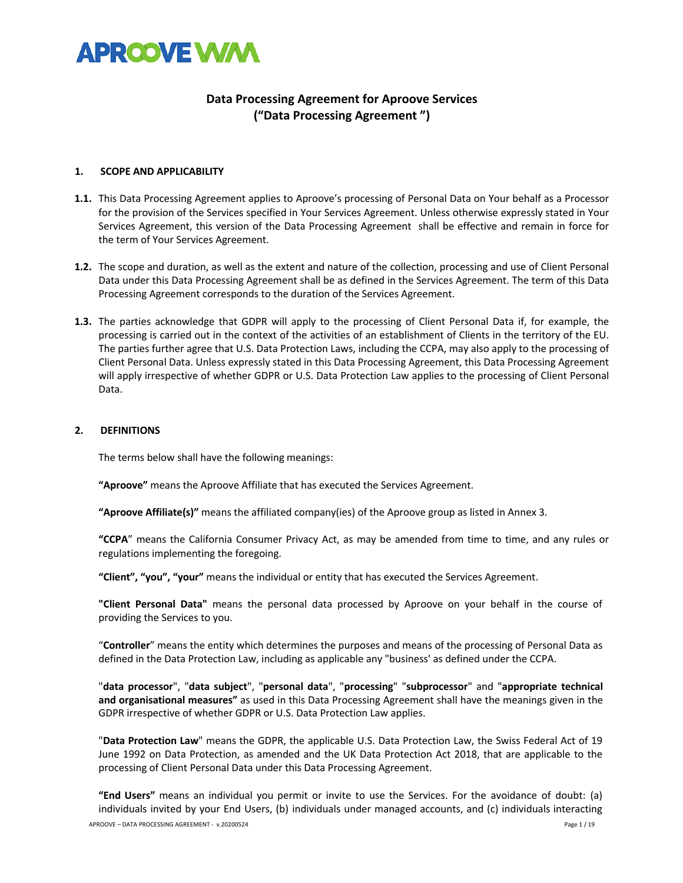

## **Data Processing Agreement for Aproove Services ("Data Processing Agreement ")**

#### **1. SCOPE AND APPLICABILITY**

- **1.1.** This Data Processing Agreement applies to Aproove's processing of Personal Data on Your behalf as a Processor for the provision of the Services specified in Your Services Agreement. Unless otherwise expressly stated in Your Services Agreement, this version of the Data Processing Agreement shall be effective and remain in force for the term of Your Services Agreement.
- **1.2.** The scope and duration, as well as the extent and nature of the collection, processing and use of Client Personal Data under this Data Processing Agreement shall be as defined in the Services Agreement. The term of this Data Processing Agreement corresponds to the duration of the Services Agreement.
- **1.3.** The parties acknowledge that GDPR will apply to the processing of Client Personal Data if, for example, the processing is carried out in the context of the activities of an establishment of Clients in the territory of the EU. The parties further agree that U.S. Data Protection Laws, including the CCPA, may also apply to the processing of Client Personal Data. Unless expressly stated in this Data Processing Agreement, this Data Processing Agreement will apply irrespective of whether GDPR or U.S. Data Protection Law applies to the processing of Client Personal Data.

#### **2. DEFINITIONS**

The terms below shall have the following meanings:

**"Aproove"** means the Aproove Affiliate that has executed the Services Agreement.

**"Aproove Affiliate(s)"** means the affiliated company(ies) of the Aproove group as listed in Annex 3.

**"CCPA**" means the California Consumer Privacy Act, as may be amended from time to time, and any rules or regulations implementing the foregoing.

**"Client", "you", "your"** means the individual or entity that has executed the Services Agreement.

**"Client Personal Data"** means the personal data processed by Aproove on your behalf in the course of providing the Services to you.

"**Controller**" means the entity which determines the purposes and means of the processing of Personal Data as defined in the Data Protection Law, including as applicable any "business' as defined under the CCPA.

"**data processor**", "**data subject**", "**personal data**", "**processing**" "**subprocessor**" and "**appropriate technical and organisational measures"** as used in this Data Processing Agreement shall have the meanings given in the GDPR irrespective of whether GDPR or U.S. Data Protection Law applies.

"**Data Protection Law**" means the GDPR, the applicable U.S. Data Protection Law, the Swiss Federal Act of 19 June 1992 on Data Protection, as amended and the UK Data Protection Act 2018, that are applicable to the processing of Client Personal Data under this Data Processing Agreement.

APROOVE – DATA PROCESSING AGREEMENT - v.20200524 Page 1 / 19 **"End Users"** means an individual you permit or invite to use the Services. For the avoidance of doubt: (a) individuals invited by your End Users, (b) individuals under managed accounts, and (c) individuals interacting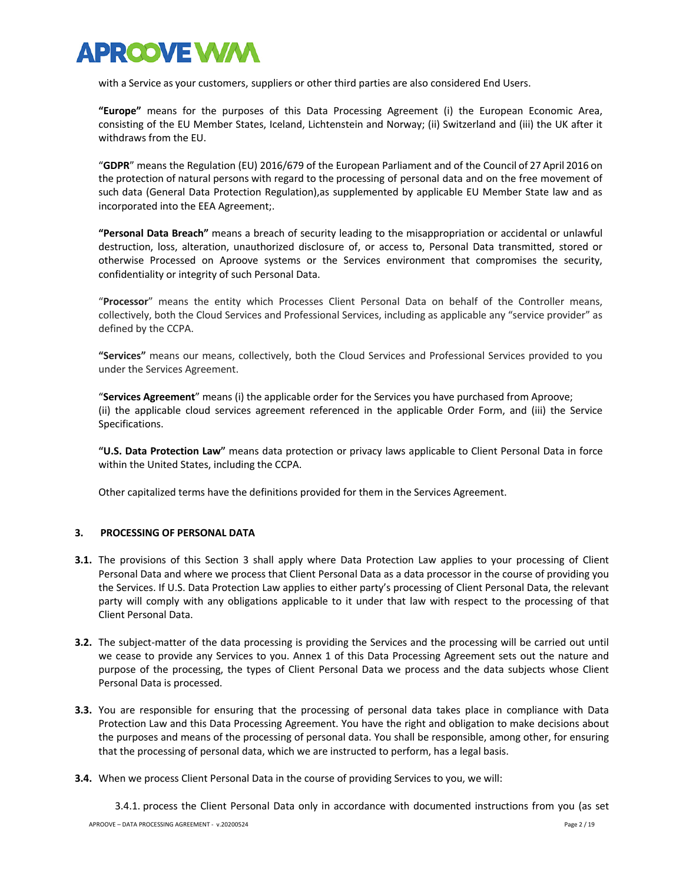

with a Service as your customers, suppliers or other third parties are also considered End Users.

**"Europe"** means for the purposes of this Data Processing Agreement (i) the European Economic Area, consisting of the EU Member States, Iceland, Lichtenstein and Norway; (ii) Switzerland and (iii) the UK after it withdraws from the EU.

"**GDPR**" means the Regulation (EU) 2016/679 of the European Parliament and of the Council of 27 April 2016 on the protection of natural persons with regard to the processing of personal data and on the free movement of such data (General Data Protection Regulation),as supplemented by applicable EU Member State law and as incorporated into the EEA Agreement;.

**"Personal Data Breach"** means a breach of security leading to the misappropriation or accidental or unlawful destruction, loss, alteration, unauthorized disclosure of, or access to, Personal Data transmitted, stored or otherwise Processed on Aproove systems or the Services environment that compromises the security, confidentiality or integrity of such Personal Data.

"**Processor**" means the entity which Processes Client Personal Data on behalf of the Controller means, collectively, both the Cloud Services and Professional Services, including as applicable any "service provider" as defined by the CCPA.

**"Services"** means our means, collectively, both the Cloud Services and Professional Services provided to you under the Services Agreement.

"**Services Agreement**" means (i) the applicable order for the Services you have purchased from Aproove; (ii) the applicable cloud services agreement referenced in the applicable Order Form, and (iii) the Service Specifications.

**"U.S. Data Protection Law"** means data protection or privacy laws applicable to Client Personal Data in force within the United States, including the CCPA.

Other capitalized terms have the definitions provided for them in the Services Agreement.

#### **3. PROCESSING OF PERSONAL DATA**

- **3.1.** The provisions of this Section 3 shall apply where Data Protection Law applies to your processing of Client Personal Data and where we process that Client Personal Data as a data processor in the course of providing you the Services. If U.S. Data Protection Law applies to either party's processing of Client Personal Data, the relevant party will comply with any obligations applicable to it under that law with respect to the processing of that Client Personal Data.
- **3.2.** The subject-matter of the data processing is providing the Services and the processing will be carried out until we cease to provide any Services to you. Annex 1 of this Data Processing Agreement sets out the nature and purpose of the processing, the types of Client Personal Data we process and the data subjects whose Client Personal Data is processed.
- **3.3.** You are responsible for ensuring that the processing of personal data takes place in compliance with Data Protection Law and this Data Processing Agreement. You have the right and obligation to make decisions about the purposes and means of the processing of personal data. You shall be responsible, among other, for ensuring that the processing of personal data, which we are instructed to perform, has a legal basis.
- **3.4.** When we process Client Personal Data in the course of providing Services to you, we will:

3.4.1. process the Client Personal Data only in accordance with documented instructions from you (as set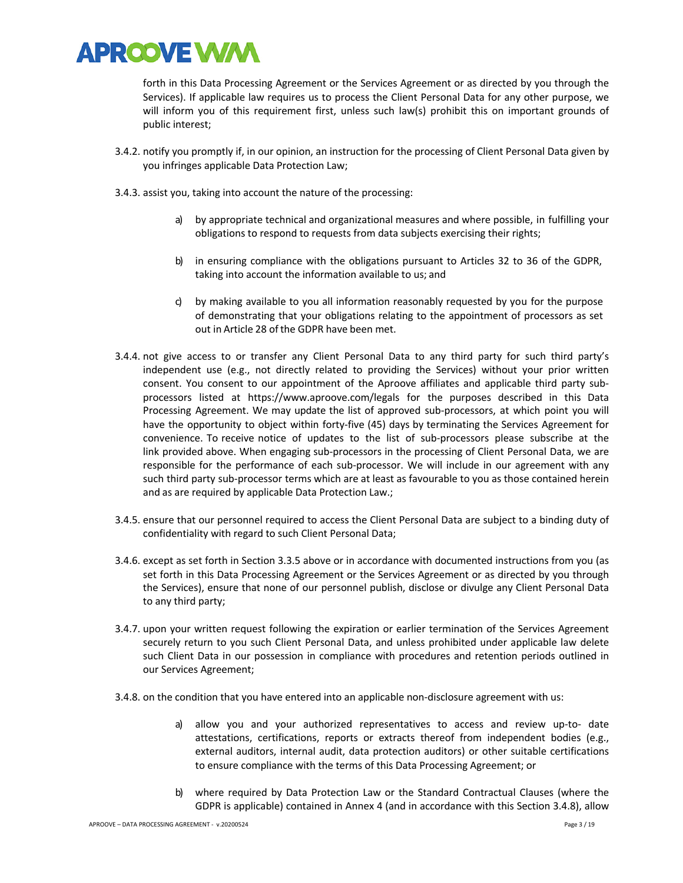

forth in this Data Processing Agreement or the Services Agreement or as directed by you through the Services). If applicable law requires us to process the Client Personal Data for any other purpose, we will inform you of this requirement first, unless such law(s) prohibit this on important grounds of public interest;

- 3.4.2. notify you promptly if, in our opinion, an instruction for the processing of Client Personal Data given by you infringes applicable Data Protection Law;
- 3.4.3. assist you, taking into account the nature of the processing:
	- a) by appropriate technical and organizational measures and where possible, in fulfilling your obligations to respond to requests from data subjects exercising their rights;
	- b) in ensuring compliance with the obligations pursuant to Articles 32 to 36 of the GDPR, taking into account the information available to us; and
	- c) by making available to you all information reasonably requested by you for the purpose of demonstrating that your obligations relating to the appointment of processors as set out in Article 28 of the GDPR have been met.
- 3.4.4. not give access to or transfer any Client Personal Data to any third party for such third party's independent use (e.g., not directly related to providing the Services) without your prior written consent. You consent to our appointment of the Aproove affiliates and applicable third party subprocessors listed at https://www.aproove.com/legals for the purposes described in this Data Processing Agreement. We may update the list of approved sub-processors, at which point you will have the opportunity to object within forty-five (45) days by terminating the Services Agreement for convenience. To receive notice of updates to the list of sub-processors please subscribe at the link provided above. When engaging sub-processors in the processing of Client Personal Data, we are responsible for the performance of each sub-processor. We will include in our agreement with any such third party sub-processor terms which are at least as favourable to you as those contained herein and as are required by applicable Data Protection Law.;
- 3.4.5. ensure that our personnel required to access the Client Personal Data are subject to a binding duty of confidentiality with regard to such Client Personal Data;
- 3.4.6. except as set forth in Section 3.3.5 above or in accordance with documented instructions from you (as set forth in this Data Processing Agreement or the Services Agreement or as directed by you through the Services), ensure that none of our personnel publish, disclose or divulge any Client Personal Data to any third party;
- 3.4.7. upon your written request following the expiration or earlier termination of the Services Agreement securely return to you such Client Personal Data, and unless prohibited under applicable law delete such Client Data in our possession in compliance with procedures and retention periods outlined in our Services Agreement;
- 3.4.8. on the condition that you have entered into an applicable non-disclosure agreement with us:
	- a) allow you and your authorized representatives to access and review up-to- date attestations, certifications, reports or extracts thereof from independent bodies (e.g., external auditors, internal audit, data protection auditors) or other suitable certifications to ensure compliance with the terms of this Data Processing Agreement; or
	- b) where required by Data Protection Law or the Standard Contractual Clauses (where the GDPR is applicable) contained in Annex 4 (and in accordance with this Section 3.4.8), allow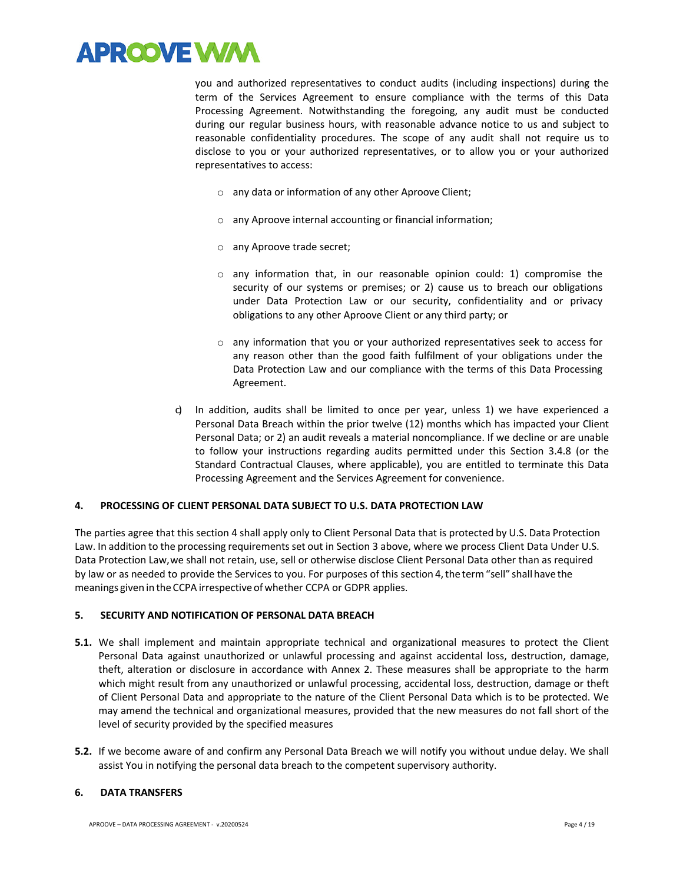

you and authorized representatives to conduct audits (including inspections) during the term of the Services Agreement to ensure compliance with the terms of this Data Processing Agreement. Notwithstanding the foregoing, any audit must be conducted during our regular business hours, with reasonable advance notice to us and subject to reasonable confidentiality procedures. The scope of any audit shall not require us to disclose to you or your authorized representatives, or to allow you or your authorized representatives to access:

- o any data or information of any other Aproove Client;
- o any Aproove internal accounting or financial information;
- o any Aproove trade secret;
- $\circ$  any information that, in our reasonable opinion could: 1) compromise the security of our systems or premises; or 2) cause us to breach our obligations under Data Protection Law or our security, confidentiality and or privacy obligations to any other Aproove Client or any third party; or
- o any information that you or your authorized representatives seek to access for any reason other than the good faith fulfilment of your obligations under the Data Protection Law and our compliance with the terms of this Data Processing Agreement.
- c) In addition, audits shall be limited to once per year, unless 1) we have experienced a Personal Data Breach within the prior twelve (12) months which has impacted your Client Personal Data; or 2) an audit reveals a material noncompliance. If we decline or are unable to follow your instructions regarding audits permitted under this Section 3.4.8 (or the Standard Contractual Clauses, where applicable), you are entitled to terminate this Data Processing Agreement and the Services Agreement for convenience.

#### **4. PROCESSING OF CLIENT PERSONAL DATA SUBJECT TO U.S. DATA PROTECTION LAW**

The parties agree that this section 4 shall apply only to Client Personal Data that is protected by U.S. Data Protection Law. In addition to the processing requirements set out in Section 3 above, where we process Client Data Under U.S. Data Protection Law,we shall not retain, use, sell or otherwise disclose Client Personal Data other than as required by law or as needed to provide the Services to you. For purposes of this section 4, the term "sell" shall have the meanings given in the CCPA irrespective of whether CCPA or GDPR applies.

#### **5. SECURITY AND NOTIFICATION OF PERSONAL DATA BREACH**

- **5.1.** We shall implement and maintain appropriate technical and organizational measures to protect the Client Personal Data against unauthorized or unlawful processing and against accidental loss, destruction, damage, theft, alteration or disclosure in accordance with Annex 2. These measures shall be appropriate to the harm which might result from any unauthorized or unlawful processing, accidental loss, destruction, damage or theft of Client Personal Data and appropriate to the nature of the Client Personal Data which is to be protected. We may amend the technical and organizational measures, provided that the new measures do not fall short of the level of security provided by the specified measures
- **5.2.** If we become aware of and confirm any Personal Data Breach we will notify you without undue delay. We shall assist You in notifying the personal data breach to the competent supervisory authority.

#### **6. DATA TRANSFERS**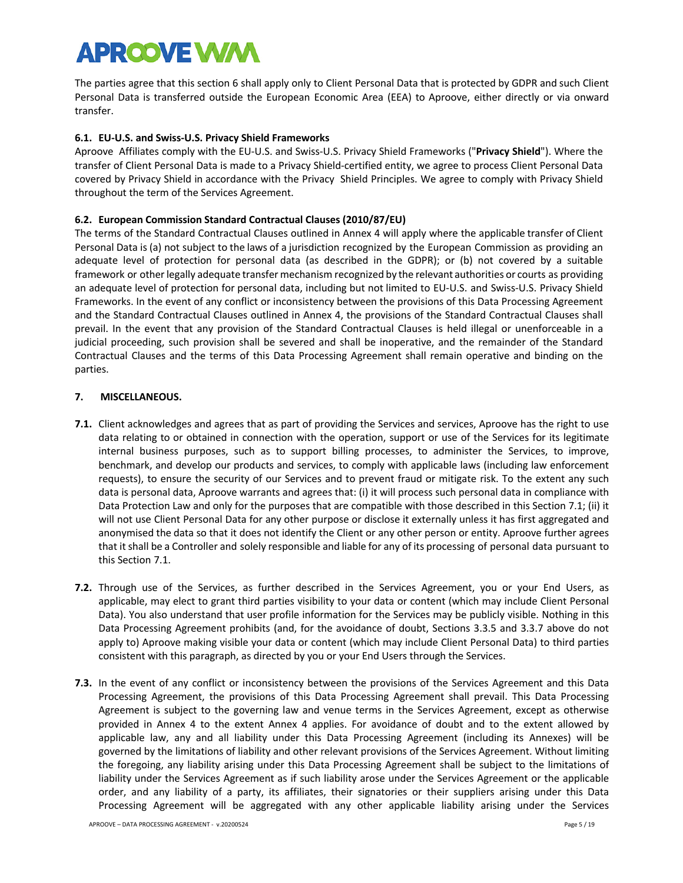# **APROOVE W/W**

The parties agree that this section 6 shall apply only to Client Personal Data that is protected by GDPR and such Client Personal Data is transferred outside the European Economic Area (EEA) to Aproove, either directly or via onward transfer.

## **6.1. EU-U.S. and Swiss-U.S. Privacy Shield Frameworks**

Aproove Affiliates comply with the EU-U.S. and Swiss-U.S. Privacy Shield Frameworks ("**Privacy Shield**"). Where the transfer of Client Personal Data is made to a Privacy Shield-certified entity, we agree to process Client Personal Data covered by Privacy Shield in accordance with the Privacy Shield Principles. We agree to comply with Privacy Shield throughout the term of the Services Agreement.

## **6.2. European Commission Standard Contractual Clauses (2010/87/EU)**

The terms of the Standard Contractual Clauses outlined in Annex 4 will apply where the applicable transfer of Client Personal Data is (a) not subject to the laws of a jurisdiction recognized by the European Commission as providing an adequate level of protection for personal data (as described in the GDPR); or (b) not covered by a suitable framework or otherlegally adequate transfer mechanism recognized by the relevant authorities or courts as providing an adequate level of protection for personal data, including but not limited to EU-U.S. and Swiss-U.S. Privacy Shield Frameworks. In the event of any conflict or inconsistency between the provisions of this Data Processing Agreement and the Standard Contractual Clauses outlined in Annex 4, the provisions of the Standard Contractual Clauses shall prevail. In the event that any provision of the Standard Contractual Clauses is held illegal or unenforceable in a judicial proceeding, such provision shall be severed and shall be inoperative, and the remainder of the Standard Contractual Clauses and the terms of this Data Processing Agreement shall remain operative and binding on the parties.

## **7. MISCELLANEOUS.**

- **7.1.** Client acknowledges and agrees that as part of providing the Services and services, Aproove has the right to use data relating to or obtained in connection with the operation, support or use of the Services for its legitimate internal business purposes, such as to support billing processes, to administer the Services, to improve, benchmark, and develop our products and services, to comply with applicable laws (including law enforcement requests), to ensure the security of our Services and to prevent fraud or mitigate risk. To the extent any such data is personal data, Aproove warrants and agrees that: (i) it will process such personal data in compliance with Data Protection Law and only for the purposes that are compatible with those described in this Section 7.1; (ii) it will not use Client Personal Data for any other purpose or disclose it externally unless it has first aggregated and anonymised the data so that it does not identify the Client or any other person or entity. Aproove further agrees that itshall be a Controller and solely responsible and liable for any of its processing of personal data pursuant to this Section 7.1.
- **7.2.** Through use of the Services, as further described in the Services Agreement, you or your End Users, as applicable, may elect to grant third parties visibility to your data or content (which may include Client Personal Data). You also understand that user profile information for the Services may be publicly visible. Nothing in this Data Processing Agreement prohibits (and, for the avoidance of doubt, Sections 3.3.5 and 3.3.7 above do not apply to) Aproove making visible your data or content (which may include Client Personal Data) to third parties consistent with this paragraph, as directed by you or your End Users through the Services.
- **7.3.** In the event of any conflict or inconsistency between the provisions of the Services Agreement and this Data Processing Agreement, the provisions of this Data Processing Agreement shall prevail. This Data Processing Agreement is subject to the governing law and venue terms in the Services Agreement, except as otherwise provided in Annex 4 to the extent Annex 4 applies. For avoidance of doubt and to the extent allowed by applicable law, any and all liability under this Data Processing Agreement (including its Annexes) will be governed by the limitations of liability and other relevant provisions of the Services Agreement. Without limiting the foregoing, any liability arising under this Data Processing Agreement shall be subject to the limitations of liability under the Services Agreement as if such liability arose under the Services Agreement or the applicable order, and any liability of a party, its affiliates, their signatories or their suppliers arising under this Data Processing Agreement will be aggregated with any other applicable liability arising under the Services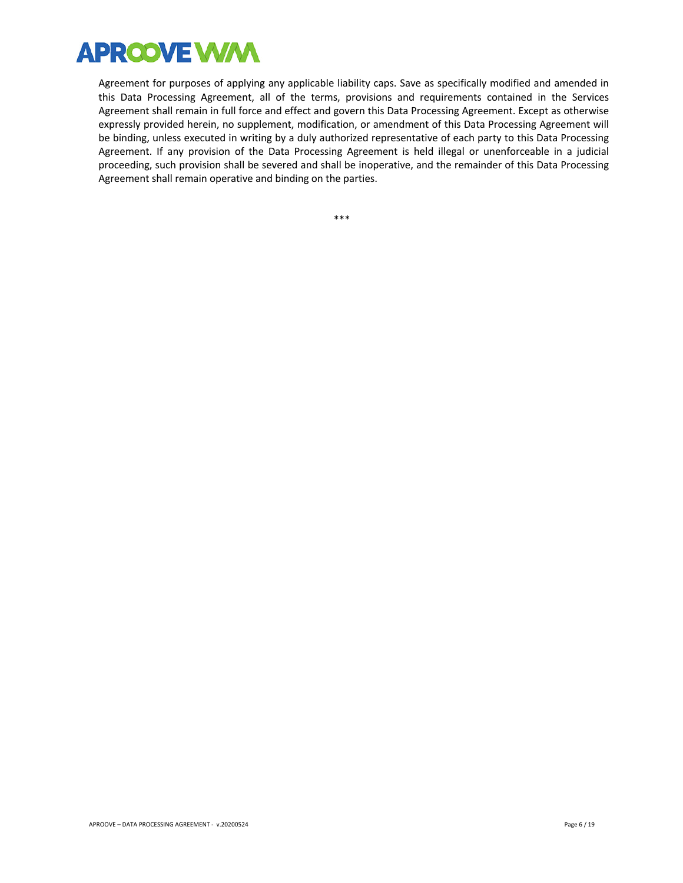

Agreement for purposes of applying any applicable liability caps. Save as specifically modified and amended in this Data Processing Agreement, all of the terms, provisions and requirements contained in the Services Agreement shall remain in full force and effect and govern this Data Processing Agreement. Except as otherwise expressly provided herein, no supplement, modification, or amendment of this Data Processing Agreement will be binding, unless executed in writing by a duly authorized representative of each party to this Data Processing Agreement. If any provision of the Data Processing Agreement is held illegal or unenforceable in a judicial proceeding, such provision shall be severed and shall be inoperative, and the remainder of this Data Processing Agreement shall remain operative and binding on the parties.

\*\*\*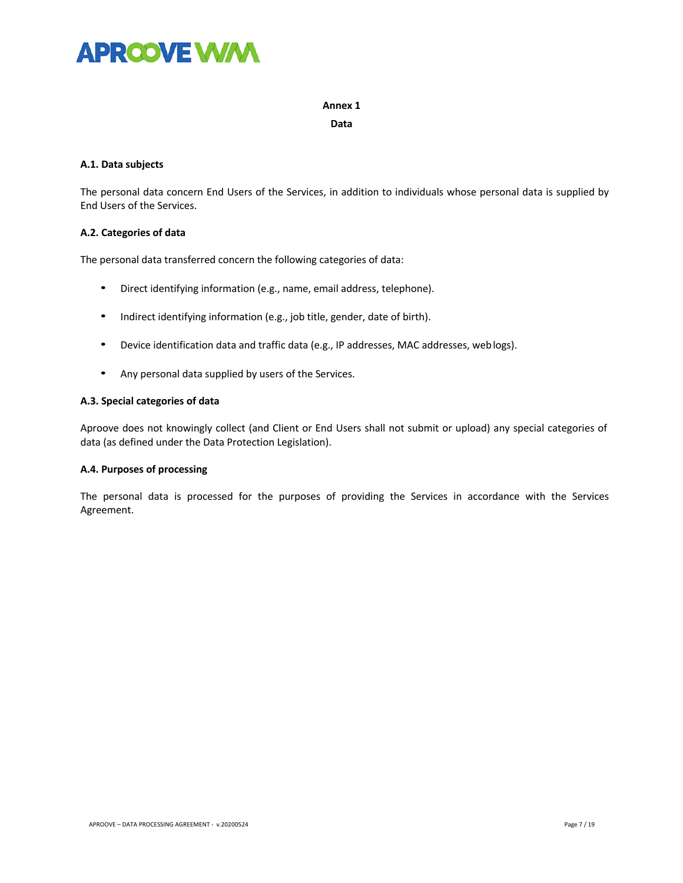## **APROOVE W/W**

## **Annex 1**

## **Data**

## **A.1. Data subjects**

The personal data concern End Users of the Services, in addition to individuals whose personal data is supplied by End Users of the Services.

## **A.2. Categories of data**

The personal data transferred concern the following categories of data:

- Direct identifying information (e.g., name, email address, telephone).
- Indirect identifying information (e.g., job title, gender, date of birth).
- Device identification data and traffic data (e.g., IP addresses, MAC addresses, weblogs).
- Any personal data supplied by users of the Services.

## **A.3. Special categories of data**

Aproove does not knowingly collect (and Client or End Users shall not submit or upload) any special categories of data (as defined under the Data Protection Legislation).

## **A.4. Purposes of processing**

The personal data is processed for the purposes of providing the Services in accordance with the Services Agreement.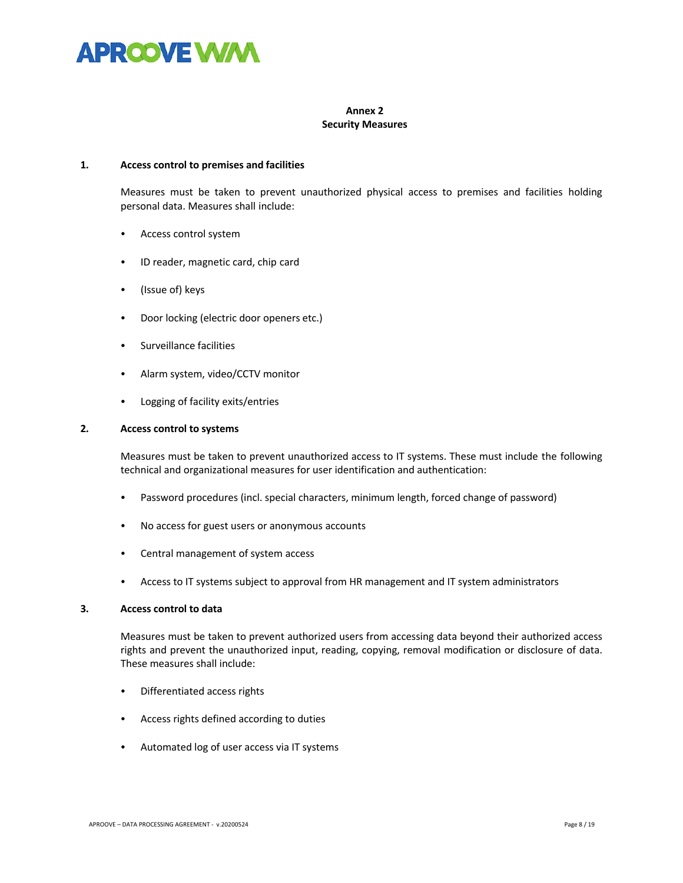

#### **Annex 2 Security Measures**

#### **1. Access control to premises and facilities**

Measures must be taken to prevent unauthorized physical access to premises and facilities holding personal data. Measures shall include:

- Access control system
- ID reader, magnetic card, chip card
- (Issue of) keys
- Door locking (electric door openers etc.)
- Surveillance facilities
- Alarm system, video/CCTV monitor
- Logging of facility exits/entries

#### **2. Access control to systems**

Measures must be taken to prevent unauthorized access to IT systems. These must include the following technical and organizational measures for user identification and authentication:

- Password procedures (incl. special characters, minimum length, forced change of password)
- No access for guest users or anonymous accounts
- Central management of system access
- Access to IT systems subject to approval from HR management and IT system administrators

#### **3. Access control to data**

Measures must be taken to prevent authorized users from accessing data beyond their authorized access rights and prevent the unauthorized input, reading, copying, removal modification or disclosure of data. These measures shall include:

- Differentiated access rights
- Access rights defined according to duties
- Automated log of user access via IT systems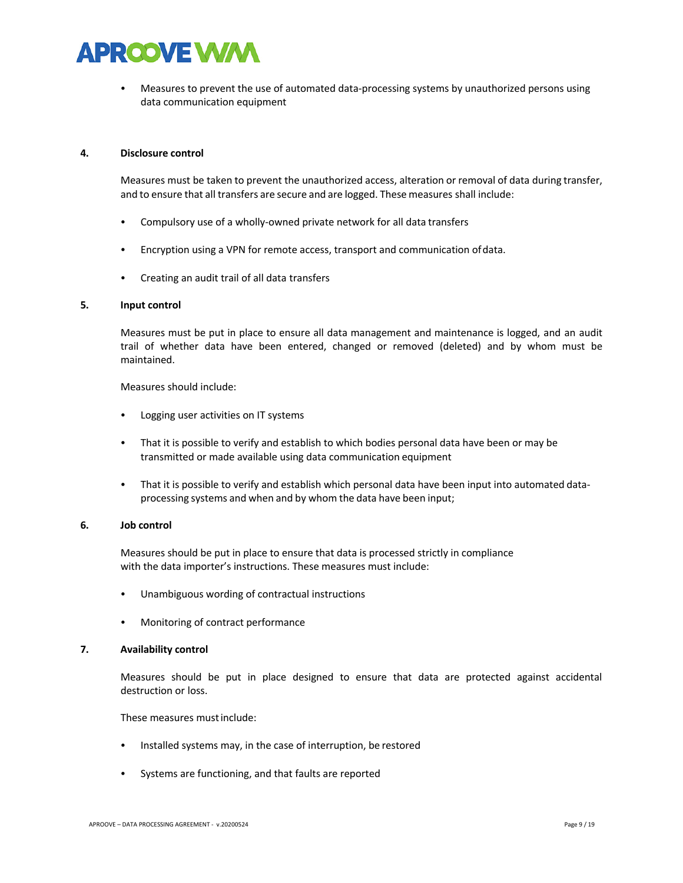## **APROOVE W/W**

• Measures to prevent the use of automated data-processing systems by unauthorized persons using data communication equipment

#### **4. Disclosure control**

Measures must be taken to prevent the unauthorized access, alteration or removal of data during transfer, and to ensure that all transfers are secure and are logged. These measures shall include:

- Compulsory use of a wholly-owned private network for all data transfers
- Encryption using a VPN for remote access, transport and communication ofdata.
- Creating an audit trail of all data transfers

#### **5. Input control**

Measures must be put in place to ensure all data management and maintenance is logged, and an audit trail of whether data have been entered, changed or removed (deleted) and by whom must be maintained.

Measures should include:

- Logging user activities on IT systems
- That it is possible to verify and establish to which bodies personal data have been or may be transmitted or made available using data communication equipment
- That it is possible to verify and establish which personal data have been input into automated dataprocessing systems and when and by whom the data have been input;

#### **6. Job control**

Measures should be put in place to ensure that data is processed strictly in compliance with the data importer's instructions. These measures must include:

- Unambiguous wording of contractual instructions
- Monitoring of contract performance

#### **7. Availability control**

Measures should be put in place designed to ensure that data are protected against accidental destruction or loss.

These measures mustinclude:

- Installed systems may, in the case of interruption, be restored
- Systems are functioning, and that faults are reported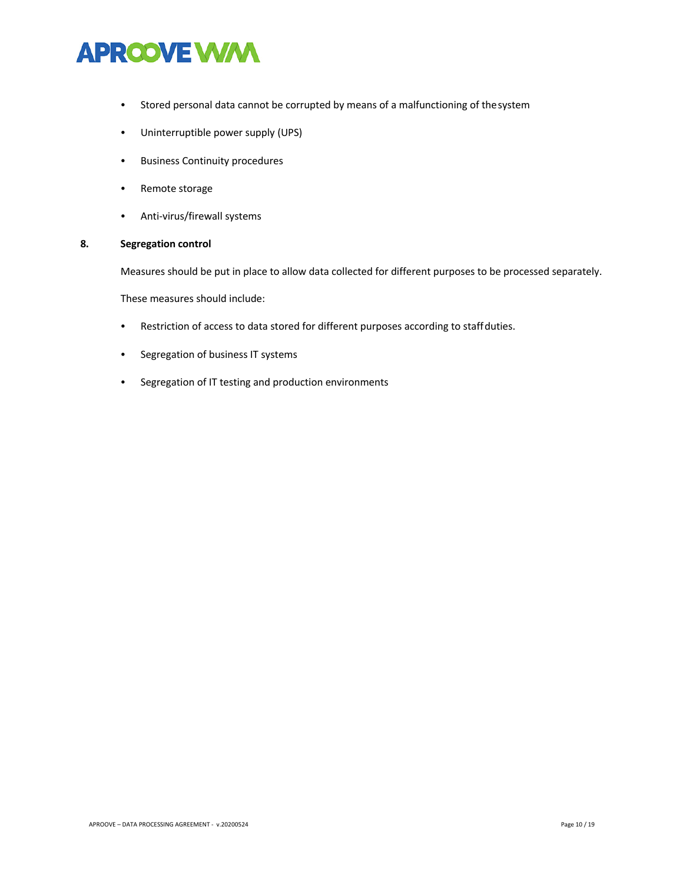## **APROOVE W/M**

- Stored personal data cannot be corrupted by means of a malfunctioning of thesystem
- Uninterruptible power supply (UPS)
- Business Continuity procedures
- Remote storage
- Anti-virus/firewall systems

#### **8. Segregation control**

Measures should be put in place to allow data collected for different purposes to be processed separately.

These measures should include:

- Restriction of access to data stored for different purposes according to staffduties.
- Segregation of business IT systems
- Segregation of IT testing and production environments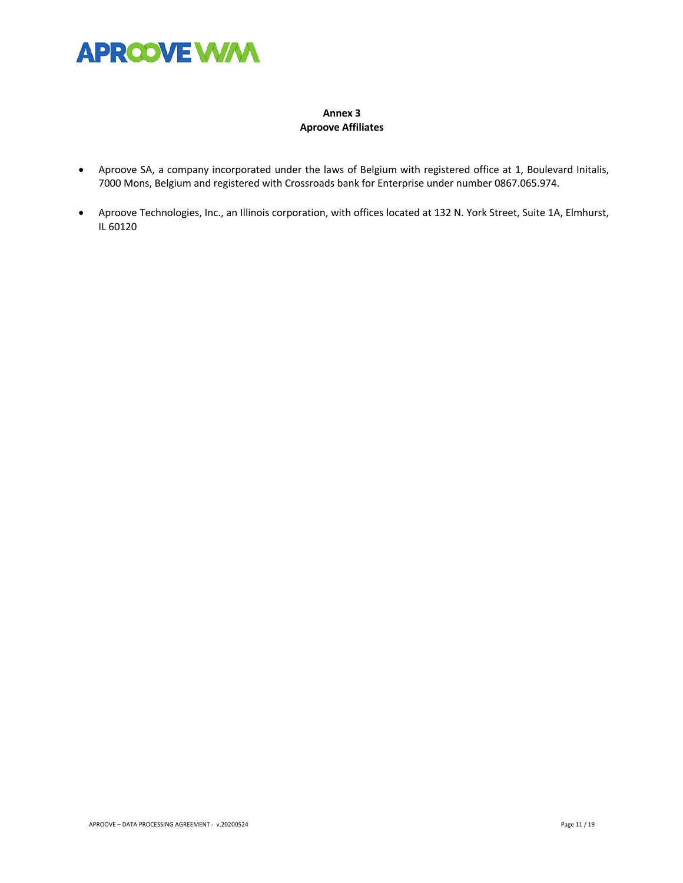

## **Annex 3 Aproove Affiliates**

- Aproove SA, a company incorporated under the laws of Belgium with registered office at 1, Boulevard Initalis, 7000 Mons, Belgium and registered with Crossroads bank for Enterprise under number 0867.065.974.
- Aproove Technologies, Inc., an Illinois corporation, with offices located at 132 N. York Street, Suite 1A, Elmhurst, IL 60120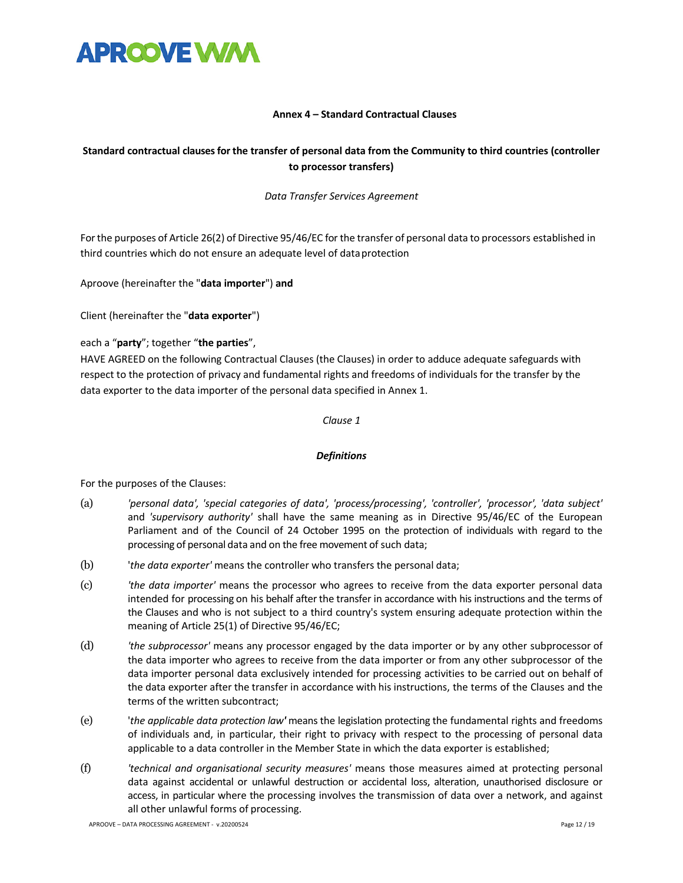

#### **Annex 4 – Standard Contractual Clauses**

## **Standard contractual clauses for the transfer of personal data from the Community to third countries (controller to processor transfers)**

*Data Transfer Services Agreement*

Forthe purposes of Article 26(2) of Directive 95/46/EC for the transfer of personal data to processors established in third countries which do not ensure an adequate level of dataprotection

Aproove (hereinafter the "**data importer**") **and**

Client (hereinafter the "**data exporter**")

#### each a "**party**"; together "**the parties**",

HAVE AGREED on the following Contractual Clauses (the Clauses) in order to adduce adequate safeguards with respect to the protection of privacy and fundamental rights and freedoms of individuals for the transfer by the data exporter to the data importer of the personal data specified in Annex 1.

#### *Clause 1*

#### *Definitions*

For the purposes of the Clauses:

- (a) *'personal data', 'special categories of data', 'process/processing', 'controller', 'processor', 'data subject'* and *'supervisory authority'* shall have the same meaning as in Directive 95/46/EC of the European Parliament and of the Council of 24 October 1995 on the protection of individuals with regard to the processing of personal data and on the free movement of such data;
- (b) '*the data exporter'* means the controller who transfers the personal data;
- (c) *'the data importer'* means the processor who agrees to receive from the data exporter personal data intended for processing on his behalf after the transfer in accordance with his instructions and the terms of the Clauses and who is not subject to a third country's system ensuring adequate protection within the meaning of Article 25(1) of Directive 95/46/EC;
- (d) *'the subprocessor'* means any processor engaged by the data importer or by any other subprocessor of the data importer who agrees to receive from the data importer or from any other subprocessor of the data importer personal data exclusively intended for processing activities to be carried out on behalf of the data exporter after the transfer in accordance with his instructions, the terms of the Clauses and the terms of the written subcontract;
- (e) '*the applicable data protection law'* means the legislation protecting the fundamental rights and freedoms of individuals and, in particular, their right to privacy with respect to the processing of personal data applicable to a data controller in the Member State in which the data exporter is established;
- (f) *'technical and organisational security measures'* means those measures aimed at protecting personal data against accidental or unlawful destruction or accidental loss, alteration, unauthorised disclosure or access, in particular where the processing involves the transmission of data over a network, and against all other unlawful forms of processing.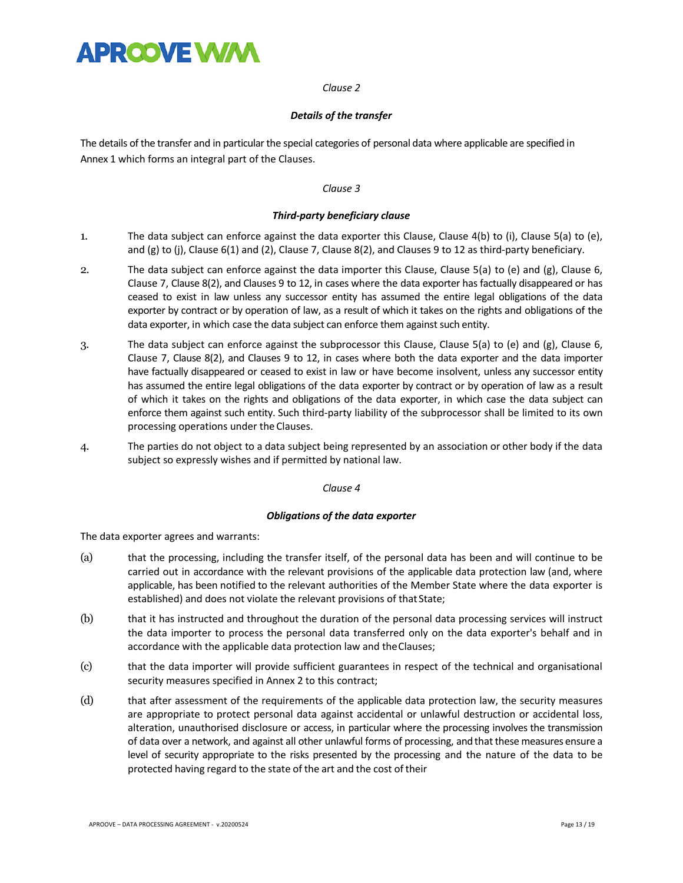

#### *Clause 2*

#### *Details of the transfer*

The details of the transfer and in particular the special categories of personal data where applicable are specified in Annex 1 which forms an integral part of the Clauses.

#### *Clause 3*

#### *Third-party beneficiary clause*

- 1. The data subject can enforce against the data exporter this Clause, Clause 4(b) to (i), Clause 5(a) to (e), and (g) to (j), Clause 6(1) and (2), Clause 7, Clause 8(2), and Clauses 9 to 12 as third-party beneficiary.
- 2. The data subject can enforce against the data importer this Clause, Clause 5(a) to (e) and (g), Clause 6, Clause 7, Clause 8(2), and Clauses 9 to 12, in cases where the data exporter has factually disappeared or has ceased to exist in law unless any successor entity has assumed the entire legal obligations of the data exporter by contract or by operation of law, as a result of which it takes on the rights and obligations of the data exporter, in which case the data subject can enforce them against such entity.
- 3. The data subject can enforce against the subprocessor this Clause, Clause 5(a) to (e) and (g), Clause 6, Clause 7, Clause 8(2), and Clauses 9 to 12, in cases where both the data exporter and the data importer have factually disappeared or ceased to exist in law or have become insolvent, unless any successor entity has assumed the entire legal obligations of the data exporter by contract or by operation of law as a result of which it takes on the rights and obligations of the data exporter, in which case the data subject can enforce them against such entity. Such third-party liability of the subprocessor shall be limited to its own processing operations under the Clauses.
- 4. The parties do not object to a data subject being represented by an association or other body if the data subject so expressly wishes and if permitted by national law.

#### *Clause 4*

#### *Obligations of the data exporter*

The data exporter agrees and warrants:

- (a) that the processing, including the transfer itself, of the personal data has been and will continue to be carried out in accordance with the relevant provisions of the applicable data protection law (and, where applicable, has been notified to the relevant authorities of the Member State where the data exporter is established) and does not violate the relevant provisions of that State;
- (b) that it has instructed and throughout the duration of the personal data processing services will instruct the data importer to process the personal data transferred only on the data exporter's behalf and in accordance with the applicable data protection law and theClauses;
- (c) that the data importer will provide sufficient guarantees in respect of the technical and organisational security measures specified in Annex 2 to this contract;
- (d) that after assessment of the requirements of the applicable data protection law, the security measures are appropriate to protect personal data against accidental or unlawful destruction or accidental loss, alteration, unauthorised disclosure or access, in particular where the processing involves the transmission of data over a network, and against all other unlawful forms of processing, and that these measures ensure a level of security appropriate to the risks presented by the processing and the nature of the data to be protected having regard to the state of the art and the cost of their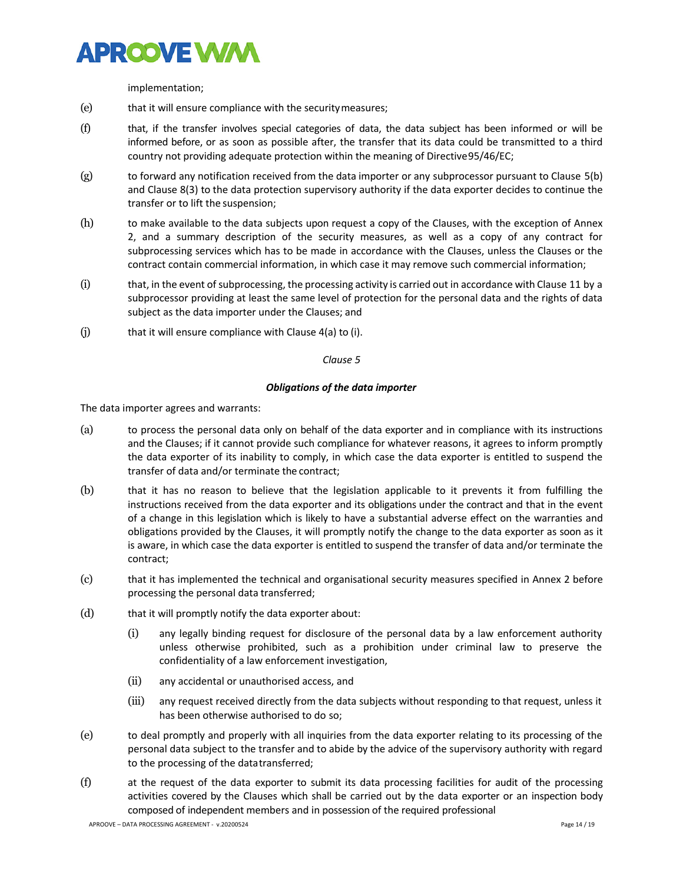

implementation;

- (e) that it will ensure compliance with the securitymeasures;
- (f) that, if the transfer involves special categories of data, the data subject has been informed or will be informed before, or as soon as possible after, the transfer that its data could be transmitted to a third country not providing adequate protection within the meaning of Directive95/46/EC;
- (g) to forward any notification received from the data importer or any subprocessor pursuant to Clause 5(b) and Clause 8(3) to the data protection supervisory authority if the data exporter decides to continue the transfer or to lift the suspension;
- (h) to make available to the data subjects upon request a copy of the Clauses, with the exception of Annex 2, and a summary description of the security measures, as well as a copy of any contract for subprocessing services which has to be made in accordance with the Clauses, unless the Clauses or the contract contain commercial information, in which case it may remove such commercial information;
- (i) that, in the event ofsubprocessing, the processing activity is carried out in accordance with Clause 11 by a subprocessor providing at least the same level of protection for the personal data and the rights of data subject as the data importer under the Clauses; and
- $(i)$  that it will ensure compliance with Clause 4(a) to (i).

#### *Clause 5*

#### *Obligations of the data importer*

The data importer agrees and warrants:

- (a) to process the personal data only on behalf of the data exporter and in compliance with its instructions and the Clauses; if it cannot provide such compliance for whatever reasons, it agrees to inform promptly the data exporter of its inability to comply, in which case the data exporter is entitled to suspend the transfer of data and/or terminate the contract;
- (b) that it has no reason to believe that the legislation applicable to it prevents it from fulfilling the instructions received from the data exporter and its obligations under the contract and that in the event of a change in this legislation which is likely to have a substantial adverse effect on the warranties and obligations provided by the Clauses, it will promptly notify the change to the data exporter as soon as it is aware, in which case the data exporter is entitled to suspend the transfer of data and/or terminate the contract;
- (c) that it has implemented the technical and organisational security measures specified in Annex 2 before processing the personal data transferred;
- (d) that it will promptly notify the data exporter about:
	- (i) any legally binding request for disclosure of the personal data by a law enforcement authority unless otherwise prohibited, such as a prohibition under criminal law to preserve the confidentiality of a law enforcement investigation,
	- (ii) any accidental or unauthorised access, and
	- (iii) any request received directly from the data subjects without responding to that request, unless it has been otherwise authorised to do so;
- (e) to deal promptly and properly with all inquiries from the data exporter relating to its processing of the personal data subject to the transfer and to abide by the advice of the supervisory authority with regard to the processing of the datatransferred;
- (f) at the request of the data exporter to submit its data processing facilities for audit of the processing activities covered by the Clauses which shall be carried out by the data exporter or an inspection body composed of independent members and in possession of the required professional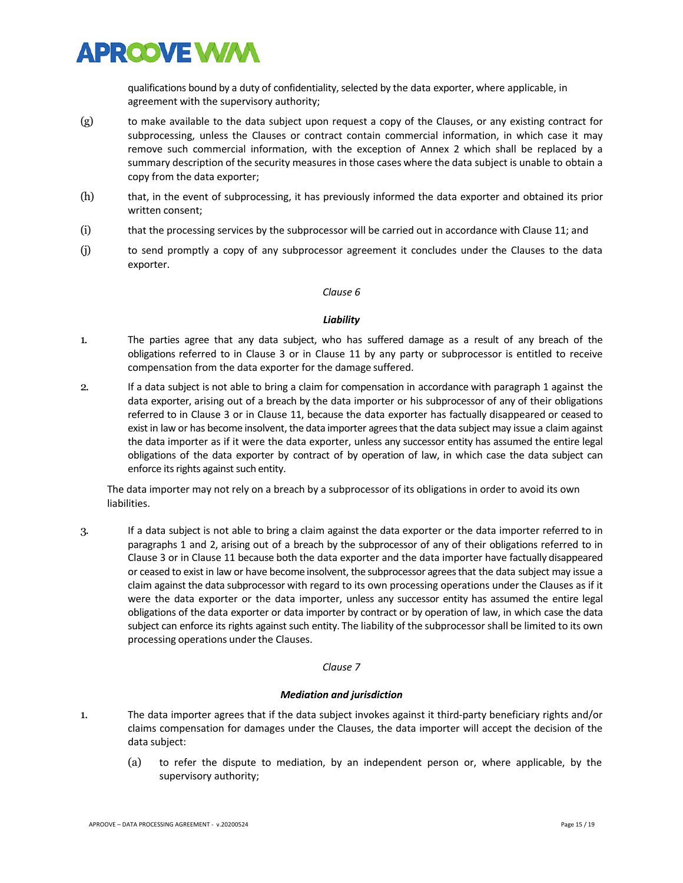## **APRODVE WAA**

qualifications bound by a duty of confidentiality, selected by the data exporter, where applicable, in agreement with the supervisory authority;

- (g) to make available to the data subject upon request a copy of the Clauses, or any existing contract for subprocessing, unless the Clauses or contract contain commercial information, in which case it may remove such commercial information, with the exception of Annex 2 which shall be replaced by a summary description of the security measures in those cases where the data subject is unable to obtain a copy from the data exporter;
- (h) that, in the event of subprocessing, it has previously informed the data exporter and obtained its prior written consent;
- (i) that the processing services by the subprocessor will be carried out in accordance with Clause 11; and
- (j) to send promptly a copy of any subprocessor agreement it concludes under the Clauses to the data exporter.

#### *Clause 6*

#### *Liability*

- 1. The parties agree that any data subject, who has suffered damage as a result of any breach of the obligations referred to in Clause 3 or in Clause 11 by any party or subprocessor is entitled to receive compensation from the data exporter for the damage suffered.
- 2. If a data subject is not able to bring a claim for compensation in accordance with paragraph 1 against the data exporter, arising out of a breach by the data importer or his subprocessor of any of their obligations referred to in Clause 3 or in Clause 11, because the data exporter has factually disappeared or ceased to exist in law or has become insolvent, the data importer agrees that the data subject may issue a claim against the data importer as if it were the data exporter, unless any successor entity has assumed the entire legal obligations of the data exporter by contract of by operation of law, in which case the data subject can enforce its rights against such entity.

The data importer may not rely on a breach by a subprocessor of its obligations in order to avoid its own liabilities.

3. If a data subject is not able to bring a claim against the data exporter or the data importer referred to in paragraphs 1 and 2, arising out of a breach by the subprocessor of any of their obligations referred to in Clause 3 or in Clause 11 because both the data exporter and the data importer have factually disappeared or ceased to exist in law or have become insolvent, the subprocessor agreesthat the data subject may issue a claim against the data subprocessor with regard to its own processing operations under the Clauses as if it were the data exporter or the data importer, unless any successor entity has assumed the entire legal obligations of the data exporter or data importer by contract or by operation of law, in which case the data subject can enforce its rights against such entity. The liability of the subprocessor shall be limited to its own processing operations under the Clauses.

#### *Clause 7*

## *Mediation and jurisdiction*

- 1. The data importer agrees that if the data subject invokes against it third-party beneficiary rights and/or claims compensation for damages under the Clauses, the data importer will accept the decision of the data subject:
	- (a) to refer the dispute to mediation, by an independent person or, where applicable, by the supervisory authority;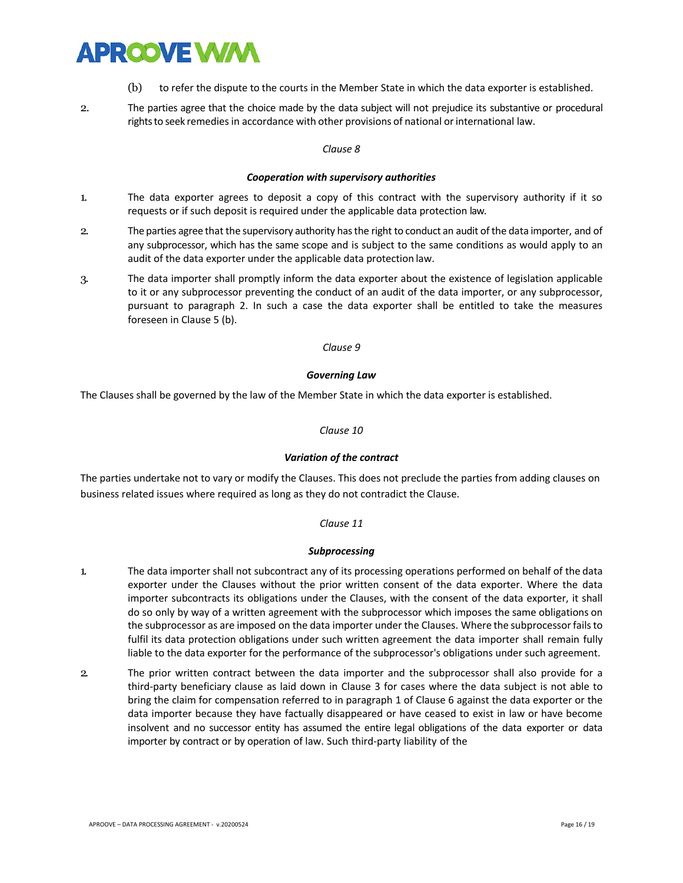## **APRODVE WAA**

- (b) to refer the dispute to the courts in the Member State in which the data exporter is established.
- 2. The parties agree that the choice made by the data subject will not prejudice its substantive or procedural rights to seek remedies in accordance with other provisions of national or international law.

#### *Clause 8*

#### *Cooperation with supervisory authorities*

- 1. The data exporter agrees to deposit a copy of this contract with the supervisory authority if it so requests or if such deposit is required under the applicable data protection law.
- 2. The parties agree that the supervisory authority hasthe right to conduct an audit ofthe data importer, and of any subprocessor, which has the same scope and is subject to the same conditions as would apply to an audit of the data exporter under the applicable data protection law.
- 3. The data importer shall promptly inform the data exporter about the existence of legislation applicable to it or any subprocessor preventing the conduct of an audit of the data importer, or any subprocessor, pursuant to paragraph 2. In such a case the data exporter shall be entitled to take the measures foreseen in Clause 5 (b).

## *Clause 9*

## *Governing Law*

The Clauses shall be governed by the law of the Member State in which the data exporter is established.

#### *Clause 10*

## *Variation of the contract*

The parties undertake not to vary or modify the Clauses. This does not preclude the parties from adding clauses on business related issues where required as long as they do not contradict the Clause.

#### *Clause 11*

## *Subprocessing*

- 1. The data importer shall not subcontract any of its processing operations performed on behalf of the data exporter under the Clauses without the prior written consent of the data exporter. Where the data importer subcontracts its obligations under the Clauses, with the consent of the data exporter, it shall do so only by way of a written agreement with the subprocessor which imposes the same obligations on the subprocessor as are imposed on the data importer under the Clauses. Where the subprocessor fails to fulfil its data protection obligations under such written agreement the data importer shall remain fully liable to the data exporter for the performance of the subprocessor's obligations under such agreement.
- 2. The prior written contract between the data importer and the subprocessor shall also provide for a third-party beneficiary clause as laid down in Clause 3 for cases where the data subject is not able to bring the claim for compensation referred to in paragraph 1 of Clause 6 against the data exporter or the data importer because they have factually disappeared or have ceased to exist in law or have become insolvent and no successor entity has assumed the entire legal obligations of the data exporter or data importer by contract or by operation of law. Such third-party liability of the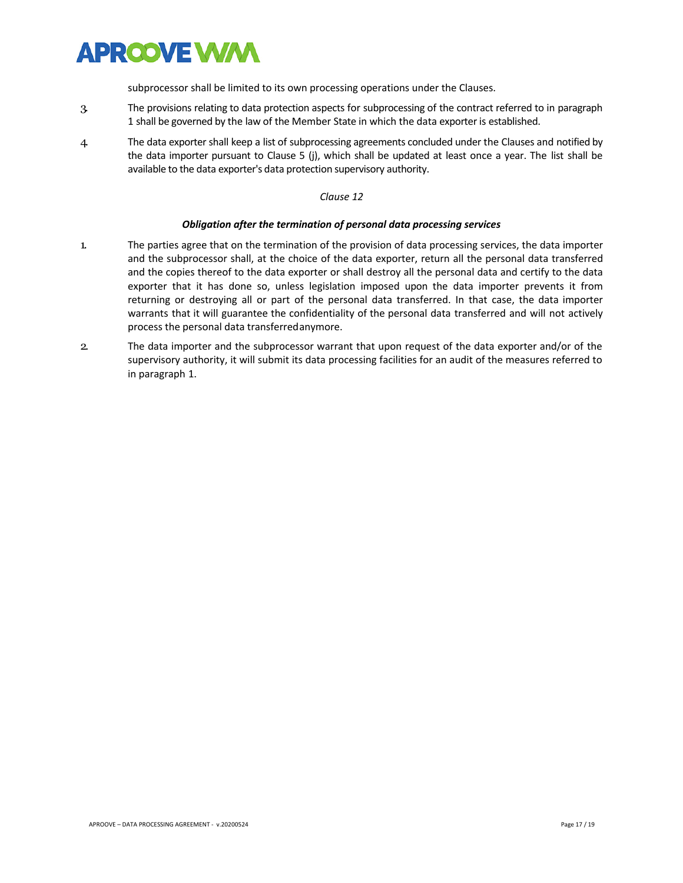## **APROOVE WAA**

subprocessor shall be limited to its own processing operations under the Clauses.

- 3. The provisions relating to data protection aspects for subprocessing of the contract referred to in paragraph 1 shall be governed by the law of the Member State in which the data exporter is established.
- 4. The data exporter shall keep a list of subprocessing agreements concluded under the Clauses and notified by the data importer pursuant to Clause 5 (j), which shall be updated at least once a year. The list shall be available to the data exporter's data protection supervisory authority.

## *Clause 12*

## *Obligation after the termination of personal data processing services*

- 1. The parties agree that on the termination of the provision of data processing services, the data importer and the subprocessor shall, at the choice of the data exporter, return all the personal data transferred and the copies thereof to the data exporter or shall destroy all the personal data and certify to the data exporter that it has done so, unless legislation imposed upon the data importer prevents it from returning or destroying all or part of the personal data transferred. In that case, the data importer warrants that it will guarantee the confidentiality of the personal data transferred and will not actively process the personal data transferredanymore.
- 2. The data importer and the subprocessor warrant that upon request of the data exporter and/or of the supervisory authority, it will submit its data processing facilities for an audit of the measures referred to in paragraph 1.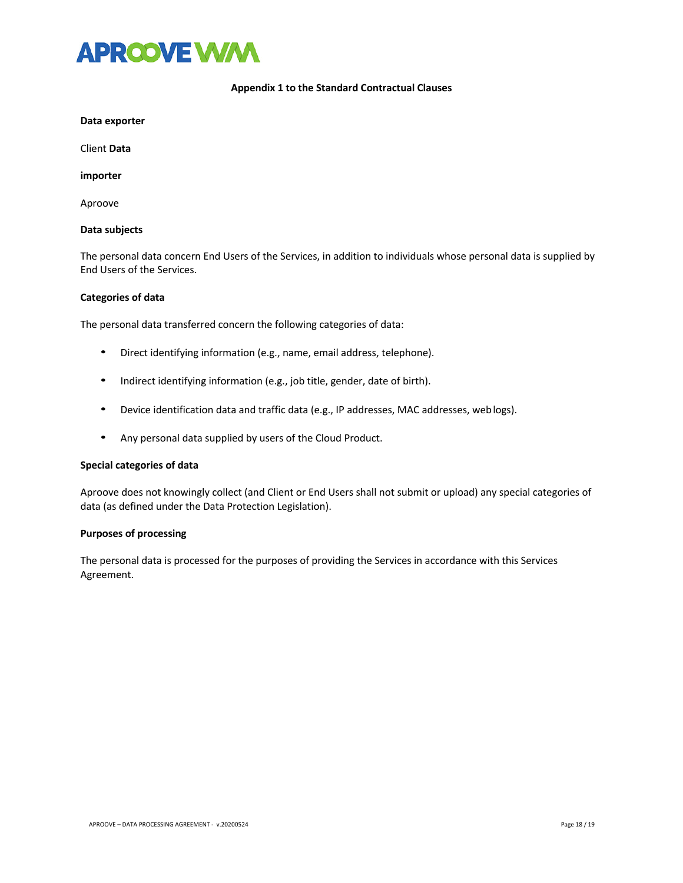## **APROOVE WAA**

#### **Appendix 1 to the Standard Contractual Clauses**

#### **Data exporter**

Client **Data**

**importer** 

Aproove

#### **Data subjects**

The personal data concern End Users of the Services, in addition to individuals whose personal data is supplied by End Users of the Services.

#### **Categories of data**

The personal data transferred concern the following categories of data:

- Direct identifying information (e.g., name, email address, telephone).
- Indirect identifying information (e.g., job title, gender, date of birth).
- Device identification data and traffic data (e.g., IP addresses, MAC addresses, weblogs).
- Any personal data supplied by users of the Cloud Product.

#### **Special categories of data**

Aproove does not knowingly collect (and Client or End Users shall not submit or upload) any special categories of data (as defined under the Data Protection Legislation).

#### **Purposes of processing**

The personal data is processed for the purposes of providing the Services in accordance with this Services Agreement.